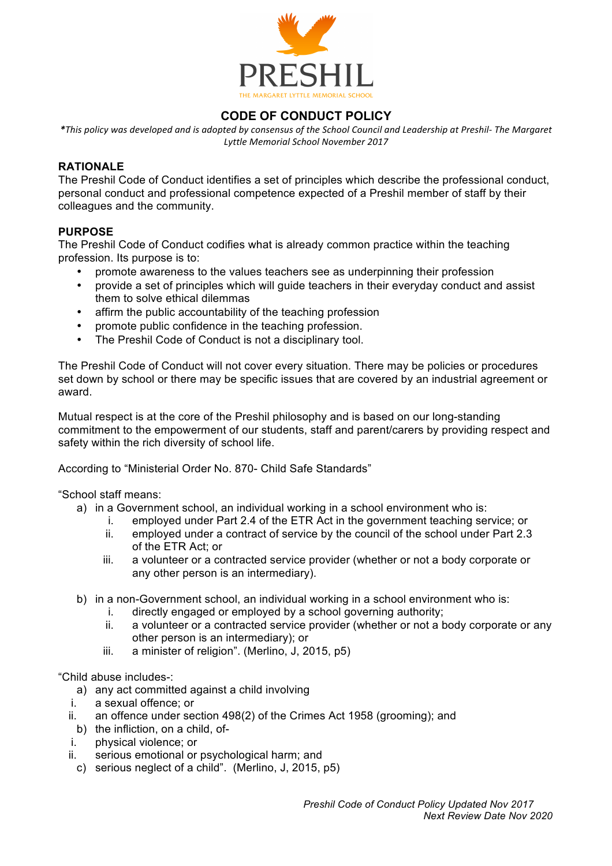

# **CODE OF CONDUCT POLICY**

*\*This policy was developed and is adopted by consensus of the School Council and Leadership at Preshil- The Margaret Lyttle Memorial School November 2017*

#### **RATIONALE**

The Preshil Code of Conduct identifies a set of principles which describe the professional conduct, personal conduct and professional competence expected of a Preshil member of staff by their colleagues and the community.

### **PURPOSE**

The Preshil Code of Conduct codifies what is already common practice within the teaching profession. Its purpose is to:

- promote awareness to the values teachers see as underpinning their profession
- provide a set of principles which will guide teachers in their everyday conduct and assist them to solve ethical dilemmas
- affirm the public accountability of the teaching profession
- promote public confidence in the teaching profession.
- The Preshil Code of Conduct is not a disciplinary tool.

The Preshil Code of Conduct will not cover every situation. There may be policies or procedures set down by school or there may be specific issues that are covered by an industrial agreement or award.

Mutual respect is at the core of the Preshil philosophy and is based on our long-standing commitment to the empowerment of our students, staff and parent/carers by providing respect and safety within the rich diversity of school life.

According to "Ministerial Order No. 870- Child Safe Standards"

"School staff means:

- a) in a Government school, an individual working in a school environment who is:
	- i. employed under Part 2.4 of the ETR Act in the government teaching service; or
	- ii. employed under a contract of service by the council of the school under Part 2.3 of the ETR Act; or
	- iii. a volunteer or a contracted service provider (whether or not a body corporate or any other person is an intermediary).
- b) in a non-Government school, an individual working in a school environment who is:
	- i. directly engaged or employed by a school governing authority;
	- ii. a volunteer or a contracted service provider (whether or not a body corporate or any other person is an intermediary); or
	- iii. a minister of religion". (Merlino, J, 2015, p5)

"Child abuse includes-:

- a) any act committed against a child involving
- i. a sexual offence; or
- ii. an offence under section 498(2) of the Crimes Act 1958 (grooming); and
- b) the infliction, on a child, of-
- i. physical violence; or
- ii. serious emotional or psychological harm; and
- c) serious neglect of a child". (Merlino, J, 2015, p5)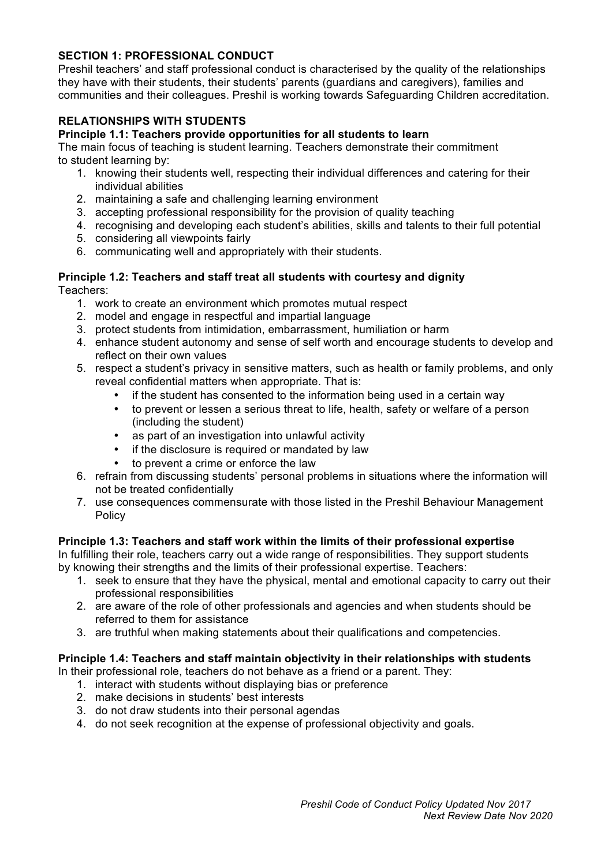# **SECTION 1: PROFESSIONAL CONDUCT**

Preshil teachers' and staff professional conduct is characterised by the quality of the relationships they have with their students, their students' parents (guardians and caregivers), families and communities and their colleagues. Preshil is working towards Safeguarding Children accreditation.

# **RELATIONSHIPS WITH STUDENTS**

### **Principle 1.1: Teachers provide opportunities for all students to learn**

The main focus of teaching is student learning. Teachers demonstrate their commitment to student learning by:

- 1. knowing their students well, respecting their individual differences and catering for their individual abilities
- 2. maintaining a safe and challenging learning environment
- 3. accepting professional responsibility for the provision of quality teaching
- 4. recognising and developing each student's abilities, skills and talents to their full potential
- 5. considering all viewpoints fairly
- 6. communicating well and appropriately with their students.

#### **Principle 1.2: Teachers and staff treat all students with courtesy and dignity** Teachers:

- 1. work to create an environment which promotes mutual respect
- 2. model and engage in respectful and impartial language
- 3. protect students from intimidation, embarrassment, humiliation or harm
- 4. enhance student autonomy and sense of self worth and encourage students to develop and reflect on their own values
- 5. respect a student's privacy in sensitive matters, such as health or family problems, and only reveal confidential matters when appropriate. That is:
	- if the student has consented to the information being used in a certain way
	- to prevent or lessen a serious threat to life, health, safety or welfare of a person (including the student)
	- as part of an investigation into unlawful activity
	- if the disclosure is required or mandated by law
	- to prevent a crime or enforce the law
- 6. refrain from discussing students' personal problems in situations where the information will not be treated confidentially
- 7. use consequences commensurate with those listed in the Preshil Behaviour Management Policy

#### **Principle 1.3: Teachers and staff work within the limits of their professional expertise**

In fulfilling their role, teachers carry out a wide range of responsibilities. They support students by knowing their strengths and the limits of their professional expertise. Teachers:

- 1. seek to ensure that they have the physical, mental and emotional capacity to carry out their professional responsibilities
- 2. are aware of the role of other professionals and agencies and when students should be referred to them for assistance
- 3. are truthful when making statements about their qualifications and competencies.

#### **Principle 1.4: Teachers and staff maintain objectivity in their relationships with students**

In their professional role, teachers do not behave as a friend or a parent. They:

- 1. interact with students without displaying bias or preference
- 2. make decisions in students' best interests
- 3. do not draw students into their personal agendas
- 4. do not seek recognition at the expense of professional objectivity and goals.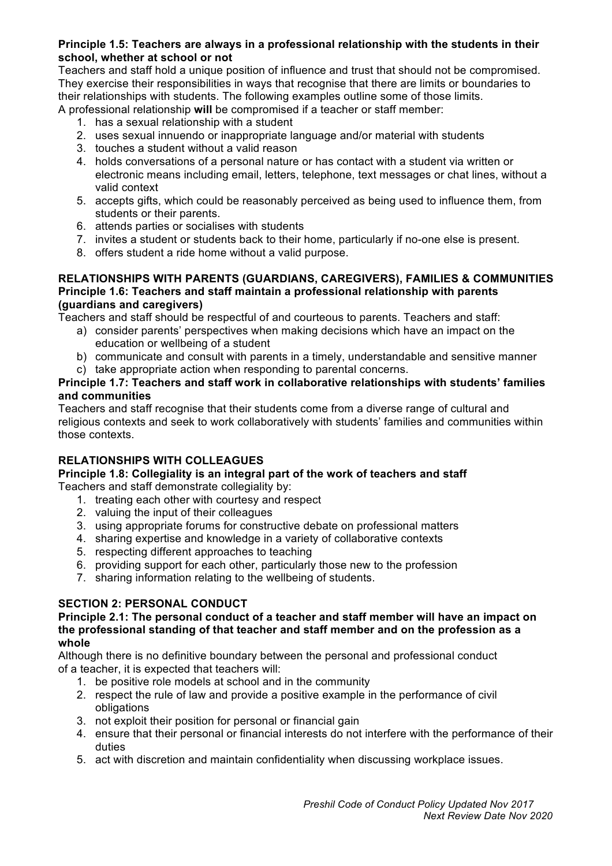### **Principle 1.5: Teachers are always in a professional relationship with the students in their school, whether at school or not**

Teachers and staff hold a unique position of influence and trust that should not be compromised. They exercise their responsibilities in ways that recognise that there are limits or boundaries to their relationships with students. The following examples outline some of those limits.

- A professional relationship **will** be compromised if a teacher or staff member:
	- 1. has a sexual relationship with a student
	- 2. uses sexual innuendo or inappropriate language and/or material with students
	- 3. touches a student without a valid reason
	- 4. holds conversations of a personal nature or has contact with a student via written or electronic means including email, letters, telephone, text messages or chat lines, without a valid context
	- 5. accepts gifts, which could be reasonably perceived as being used to influence them, from students or their parents.
	- 6. attends parties or socialises with students
	- 7. invites a student or students back to their home, particularly if no-one else is present.
	- 8. offers student a ride home without a valid purpose.

#### **RELATIONSHIPS WITH PARENTS (GUARDIANS, CAREGIVERS), FAMILIES & COMMUNITIES Principle 1.6: Teachers and staff maintain a professional relationship with parents (guardians and caregivers)**

Teachers and staff should be respectful of and courteous to parents. Teachers and staff:

- a) consider parents' perspectives when making decisions which have an impact on the education or wellbeing of a student
- b) communicate and consult with parents in a timely, understandable and sensitive manner
- c) take appropriate action when responding to parental concerns.

#### **Principle 1.7: Teachers and staff work in collaborative relationships with students' families and communities**

Teachers and staff recognise that their students come from a diverse range of cultural and religious contexts and seek to work collaboratively with students' families and communities within those contexts.

# **RELATIONSHIPS WITH COLLEAGUES**

#### **Principle 1.8: Collegiality is an integral part of the work of teachers and staff** Teachers and staff demonstrate collegiality by:

- 1. treating each other with courtesy and respect
- 2. valuing the input of their colleagues
- 3. using appropriate forums for constructive debate on professional matters
- 4. sharing expertise and knowledge in a variety of collaborative contexts
- 5. respecting different approaches to teaching
- 6. providing support for each other, particularly those new to the profession
- 7. sharing information relating to the wellbeing of students.

# **SECTION 2: PERSONAL CONDUCT**

#### **Principle 2.1: The personal conduct of a teacher and staff member will have an impact on the professional standing of that teacher and staff member and on the profession as a whole**

Although there is no definitive boundary between the personal and professional conduct of a teacher, it is expected that teachers will:

- 1. be positive role models at school and in the community
- 2. respect the rule of law and provide a positive example in the performance of civil obligations
- 3. not exploit their position for personal or financial gain
- 4. ensure that their personal or financial interests do not interfere with the performance of their duties
- 5. act with discretion and maintain confidentiality when discussing workplace issues.